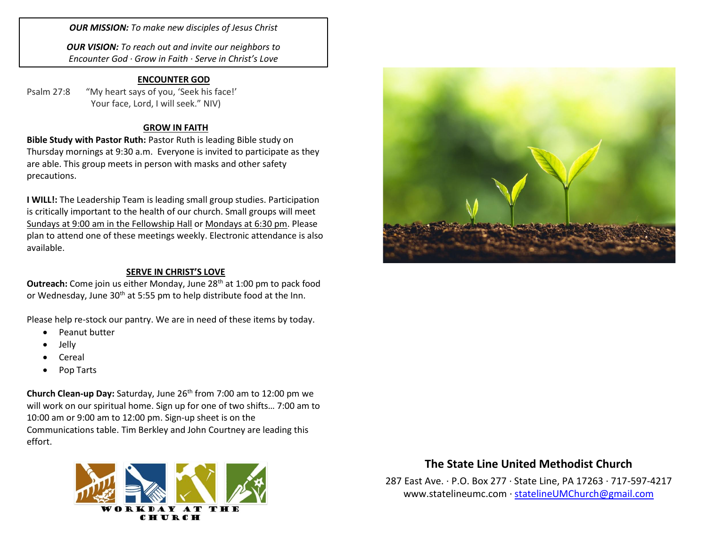*OUR MISSION: To make new disciples of Jesus Christ*

*OUR VISION: To reach out and invite our neighbors to Encounter God · Grow in Faith · Serve in Christ's Love*

## **ENCOUNTER GOD**

Psalm 27:8 "My heart says of you, 'Seek his face!' Your face, Lord, I will seek." NIV)

## **GROW IN FAITH**

**Bible Study with Pastor Ruth:** Pastor Ruth is leading Bible study on Thursday mornings at 9:30 a.m. Everyone is invited to participate as they are able. This group meets in person with masks and other safety precautions.

**I WILL!:** The Leadership Team is leading small group studies. Participation is critically important to the health of our church. Small groups will meet Sundays at 9:00 am in the Fellowship Hall or Mondays at 6:30 pm. Please plan to attend one of these meetings weekly. Electronic attendance is also available.

#### **SERVE IN CHRIST'S LOVE**

**Outreach:** Come join us either Monday, June 28<sup>th</sup> at 1:00 pm to pack food or Wednesday, June 30<sup>th</sup> at 5:55 pm to help distribute food at the Inn.

Please help re-stock our pantry. We are in need of these items by today.

- Peanut butter
- Jelly
- Cereal
- Pop Tarts

**Church Clean-up Day:** Saturday, June 26<sup>th</sup> from 7:00 am to 12:00 pm we will work on our spiritual home. Sign up for one of two shifts… 7:00 am to 10:00 am or 9:00 am to 12:00 pm. Sign-up sheet is on the Communications table. Tim Berkley and John Courtney are leading this effort.





## **The State Line United Methodist Church**

287 East Ave. · P.O. Box 277 · State Line, PA 17263 · 717-597-4217 [www.statelineumc.com](http://www.statelineumc.com/) · [statelineUMChurch@gmail.com](mailto:statelineUMChurch@gmail.com)